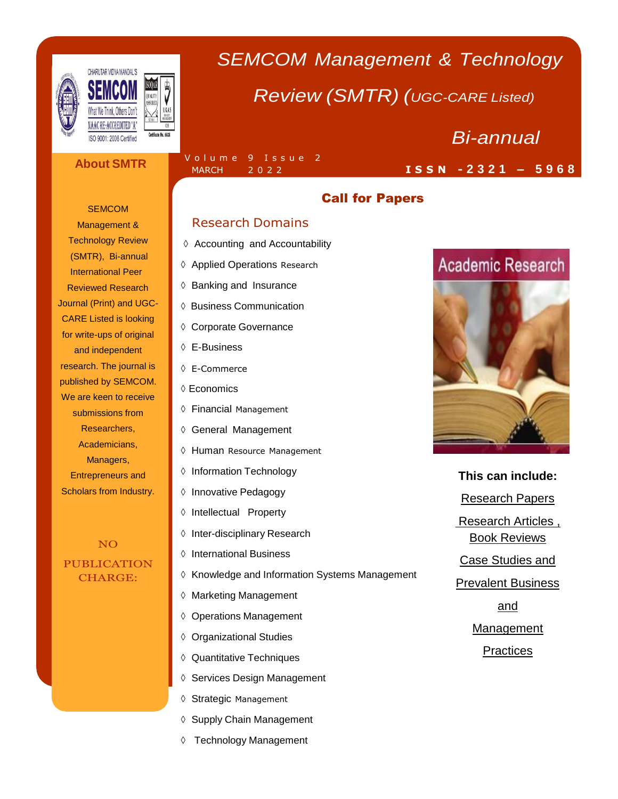

# *SEMCOM Management & Technology*

## *Review (SMTR) (UGC-CARE Listed)*

### **About SMTR**

 $\frac{1}{J}$ EN ANTE

#### **SEMCOM**

Management & Technology Review (SMTR), Bi-annual International Peer Reviewed Research Journal (Print) and UGC-CARE Listed is looking for write-ups of original and independent research. The journal is published by SEMCOM. We are keen to receive submissions from Researchers, Academicians, Managers, Entrepreneurs and Scholars from Industry.

NO PUBLICATION CHARGE:

#### Volume 9 Issue 2 MARCH 2 0 2 2

## Call for Papers

## Research Domains

- ♦ Accounting and Accountability
- $\Diamond$  Applied Operations Research
- ♦ Banking and Insurance
- ♦ Business Communication
- Corporate Governance
- E-Business
- E-Commerce
- Economics
- Financial Management
- ♦ General Management
- ♦ Human Resource Management
- ♦ Information Technology
- ♦ Innovative Pedagogy
- ♦ Intellectual Property
- ♦ Inter-disciplinary Research
- **♦ International Business**
- $\Diamond$  Knowledge and Information Systems Management
- ♦ Marketing Management
- ♦ Operations Management
- ♦ Organizational Studies
- ♦ Quantitative Techniques
- ♦ Services Design Management
- ♦ Strategic Management
- ♦ Supply Chain Management
- Technology Management

## **Academic Research**

*Bi-annual*

**I S S N - 2 3 2 1 – 5 9 6 8**



### **This can include:**

Research Papers

Research Articles ,

Book Reviews

Case Studies and

Prevalent Business

and

Management

**Practices**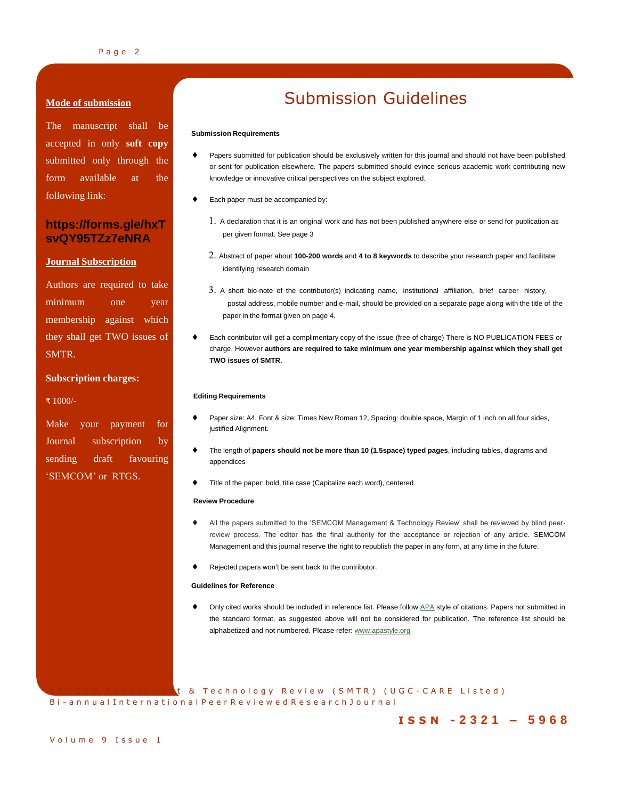#### Page 2

#### **Mode of submission**

The manuscript shall be accepted in only **soft copy** submitted only through the form available at the following link:

## **https://forms.gle/hxT svQY95TZz7eNRA**

#### **Journal Subscription**

Authors are required to take minimum one year membership against which they shall get TWO issues of SMTR.

#### **Subscription charges:**

₹ 1000/-

Make your payment for Journal subscription by sending draft favouring 'SEMCOM' or RTGS.

## Submission Guidelines

#### **Submission Requirements**

- Papers submitted for publication should be exclusively written for this journal and should not have been published or sent for publication elsewhere. The papers submitted should evince serious academic work contributing new knowledge or innovative critical perspectives on the subject explored.
- Each paper must be accompanied by:
	- <sup>A</sup> declaration that it is an original work and has not been published anywhere else or send for publication as per given format. See page 3
	- Abstract of paper about **100-200 words** and **<sup>4</sup> to 8 keywords** to describe your research paper and facilitate identifying research domain
	- <sup>A</sup> short bio-note of the contributor(s) indicating name, institutional affiliation, brief career history, postal address, mobile number and e-mail, should be provided on a separate page along with the title of the paper in the format given on page 4.
- Each contributor will get a complimentary copy of the issue (free of charge) There is NO PUBLICATION FEES or charge. However **authors are required to take minimum one year membership against which they shall get TWO issues of SMTR.**

#### **Editing Requirements**

- Paper size: A4, Font & size: Times New Roman 12, Spacing: double space, Margin of 1 inch on all four sides, justified Alignment.
- The length of **papers should not be more than 10 (1.5space) typed pages**, including tables, diagrams and appendices
- Title of the paper: bold, title case (Capitalize each word), centered.

#### **Review Procedure**

- All the papers submitted to the 'SEMCOM Management & Technology Review' shall be reviewed by blind peerreview process. The editor has the final authority for the acceptance or rejection of any article. SEMCOM Management and this journal reserve the right to republish the paper in any form, at any time in the future.
- Rejected papers won't be sent back to the contributor.

#### **Guidelines for Reference**

 Only cited works should be included in reference list. Please follow [APA](http://www.apastyle.org/) style of citations. Papers not submitted in the standard format, as suggested above will not be considered for publication. The reference list should be alphabetized and not numbered. Please refer: [www.apastyle.org](http://www.apastyle.org/)

t & Technology Review (SMTR) (UGC-CARE Listed) Bi - a n n u a l I n t e r n a t i o n a l P e e r R e v i e w e d R e s e a r c h J o u r n a l

### **I S S N - 2 3 2 1 – 5 9 6 8**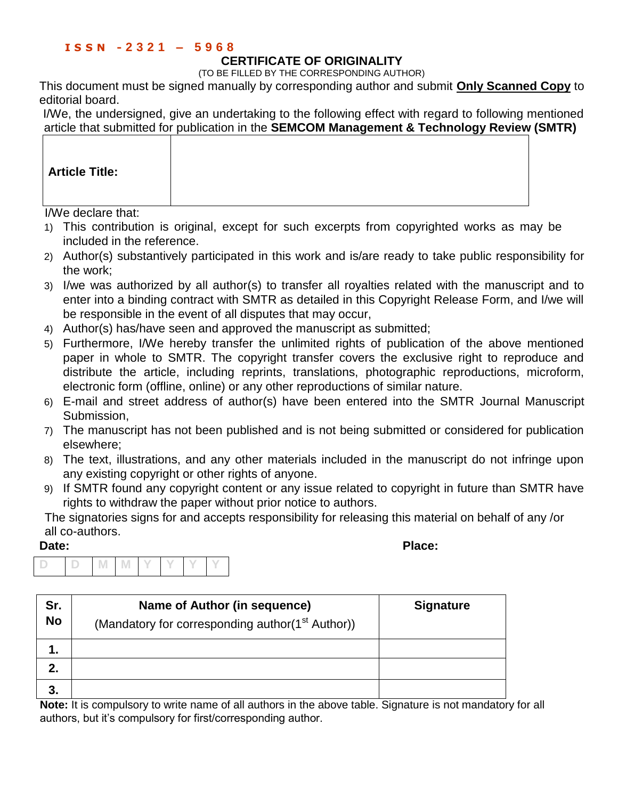## **I S S N - 2 3 2 1 – 5 9 6 8**

## **CERTIFICATE OF ORIGINALITY**

(TO BE FILLED BY THE CORRESPONDING AUTHOR)

This document must be signed manually by corresponding author and submit **Only Scanned Copy** to editorial board.

I/We, the undersigned, give an undertaking to the following effect with regard to following mentioned article that submitted for publication in the **SEMCOM Management & Technology Review (SMTR)**

| <b>Article Title:</b> |  |
|-----------------------|--|
|-----------------------|--|

I/We declare that:

- 1) This contribution is original, except for such excerpts from copyrighted works as may be included in the reference.
- 2) Author(s) substantively participated in this work and is/are ready to take public responsibility for the work;
- 3) I/we was authorized by all author(s) to transfer all royalties related with the manuscript and to enter into a binding contract with SMTR as detailed in this Copyright Release Form, and I/we will be responsible in the event of all disputes that may occur,
- 4) Author(s) has/have seen and approved the manuscript as submitted;
- 5) Furthermore, I/We hereby transfer the unlimited rights of publication of the above mentioned paper in whole to SMTR. The copyright transfer covers the exclusive right to reproduce and distribute the article, including reprints, translations, photographic reproductions, microform, electronic form (offline, online) or any other reproductions of similar nature.
- 6) E-mail and street address of author(s) have been entered into the SMTR Journal Manuscript Submission,
- 7) The manuscript has not been published and is not being submitted or considered for publication elsewhere;
- 8) The text, illustrations, and any other materials included in the manuscript do not infringe upon any existing copyright or other rights of anyone.
- 9) If SMTR found any copyright content or any issue related to copyright in future than SMTR have rights to withdraw the paper without prior notice to authors.

The signatories signs for and accepts responsibility for releasing this material on behalf of any /or all co-authors.

**Date: Place:**

|  | <b>IVI</b> |  |  |  |
|--|------------|--|--|--|

| Sr.<br><b>No</b> | Name of Author (in sequence)<br>(Mandatory for corresponding author(1 <sup>st</sup> Author)) | <b>Signature</b> |
|------------------|----------------------------------------------------------------------------------------------|------------------|
| 1.               |                                                                                              |                  |
| 2.               |                                                                                              |                  |
| 3.               |                                                                                              |                  |

Note: It is compulsory to write name of all authors in the above table. Signature is not mandatory for all authors, but it's compulsory for first/corresponding author.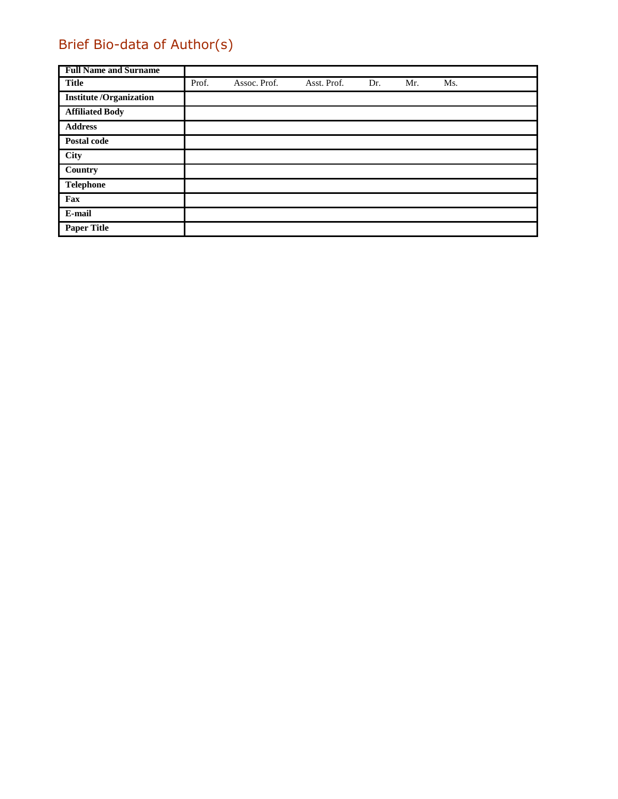## Brief Bio-data of Author(s)

| <b>Full Name and Surname</b>  |       |              |             |     |     |     |
|-------------------------------|-------|--------------|-------------|-----|-----|-----|
| <b>Title</b>                  | Prof. | Assoc. Prof. | Asst. Prof. | Dr. | Mr. | Ms. |
| <b>Institute/Organization</b> |       |              |             |     |     |     |
| <b>Affiliated Body</b>        |       |              |             |     |     |     |
| <b>Address</b>                |       |              |             |     |     |     |
| Postal code                   |       |              |             |     |     |     |
| City                          |       |              |             |     |     |     |
| Country                       |       |              |             |     |     |     |
| <b>Telephone</b>              |       |              |             |     |     |     |
| Fax                           |       |              |             |     |     |     |
| E-mail                        |       |              |             |     |     |     |
| <b>Paper Title</b>            |       |              |             |     |     |     |